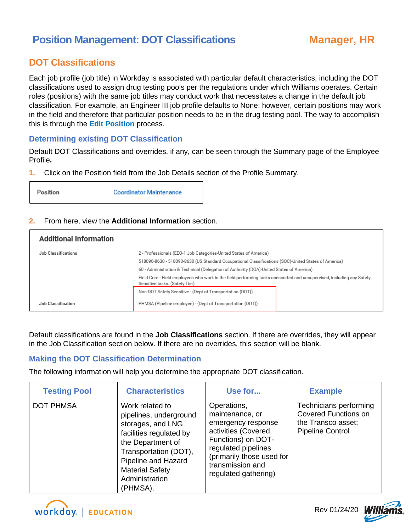### **DOT Classifications**

Each job profile (job title) in Workday is associated with particular default characteristics, including the DOT classifications used to assign drug testing pools per the regulations under which Williams operates. Certain roles (positions) with the same job titles may conduct work that necessitates a change in the default job classification. For example, an Engineer III job profile defaults to None; however, certain positions may work in the field and therefore that particular position needs to be in the drug testing pool. The way to accomplish this is through the **Edit Position** process.

### **Determining existing DOT Classification**

Default DOT Classifications and overrides, if any, can be seen through the Summary page of the Employee Profile**.** 

**1.** Click on the Position field from the Job Details section of the Profile Summary.



#### **2.** From here, view the **Additional Information** section.

| <b>Additional Information</b> |                                                                                                                                                                                                                                                                      |                                                                                                                       |  |
|-------------------------------|----------------------------------------------------------------------------------------------------------------------------------------------------------------------------------------------------------------------------------------------------------------------|-----------------------------------------------------------------------------------------------------------------------|--|
| <b>Job Classifications</b>    | 2 - Professionals (EEO-1 Job Categories-United States of America)<br>518090-8630 - 518090-8630 (US Standard Occupational Classifications (SOC)-United States of America)<br>60 - Administration & Technical (Delegation of Authority (DOA)-United States of America) |                                                                                                                       |  |
|                               |                                                                                                                                                                                                                                                                      |                                                                                                                       |  |
|                               |                                                                                                                                                                                                                                                                      |                                                                                                                       |  |
|                               | Sensitive tasks. (Safety Tier)                                                                                                                                                                                                                                       | Field Core - Field employees who work in the field performing tasks unescorted and unsupervised, including any Safety |  |
|                               | Non-DOT Safety Sensitive - (Dept of Transportation (DOT))                                                                                                                                                                                                            |                                                                                                                       |  |
| Job Classification            | PHMSA (Pipeline employee) - (Dept of Transportation (DOT))                                                                                                                                                                                                           |                                                                                                                       |  |

Default classifications are found in the **Job Classifications** section. If there are overrides, they will appear in the Job Classification section below. If there are no overrides, this section will be blank.

### **Making the DOT Classification Determination**

The following information will help you determine the appropriate DOT classification.

| <b>Testing Pool</b> | <b>Characteristics</b>                                                                                                                                                                                                 | Use for                                                                                                                                                                                           | <b>Example</b>                                                                                         |
|---------------------|------------------------------------------------------------------------------------------------------------------------------------------------------------------------------------------------------------------------|---------------------------------------------------------------------------------------------------------------------------------------------------------------------------------------------------|--------------------------------------------------------------------------------------------------------|
| <b>DOT PHMSA</b>    | Work related to<br>pipelines, underground<br>storages, and LNG<br>facilities regulated by<br>the Department of<br>Transportation (DOT),<br>Pipeline and Hazard<br><b>Material Safety</b><br>Administration<br>(PHMSA). | Operations,<br>maintenance, or<br>emergency response<br>activities (Covered<br>Functions) on DOT-<br>regulated pipelines<br>(primarily those used for<br>transmission and<br>regulated gathering) | Technicians performing<br><b>Covered Functions on</b><br>the Transco asset;<br><b>Pipeline Control</b> |